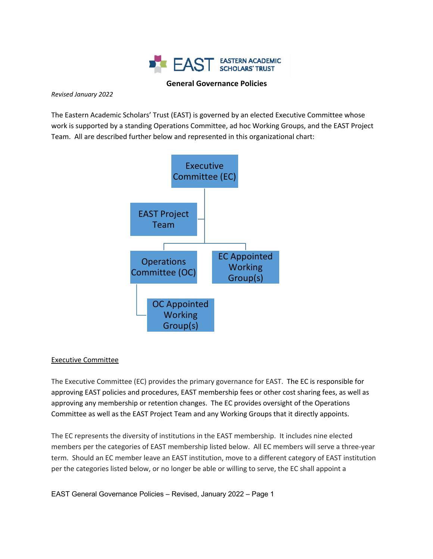

### **General Governance Policies**

#### *Revised January 2022*

The Eastern Academic Scholars' Trust (EAST) is governed by an elected Executive Committee whose work is supported by a standing Operations Committee, ad hoc Working Groups, and the EAST Project Team. All are described further below and represented in this organizational chart:



### Executive Committee

The Executive Committee (EC) provides the primary governance for EAST. The EC is responsible for approving EAST policies and procedures, EAST membership fees or other cost sharing fees, as well as approving any membership or retention changes. The EC provides oversight of the Operations Committee as well as the EAST Project Team and any Working Groups that it directly appoints.

The EC represents the diversity of institutions in the EAST membership. It includes nine elected members per the categories of EAST membership listed below. All EC members will serve a three-year term. Should an EC member leave an EAST institution, move to a different category of EAST institution per the categories listed below, or no longer be able or willing to serve, the EC shall appoint a

EAST General Governance Policies – Revised, January 2022 – Page 1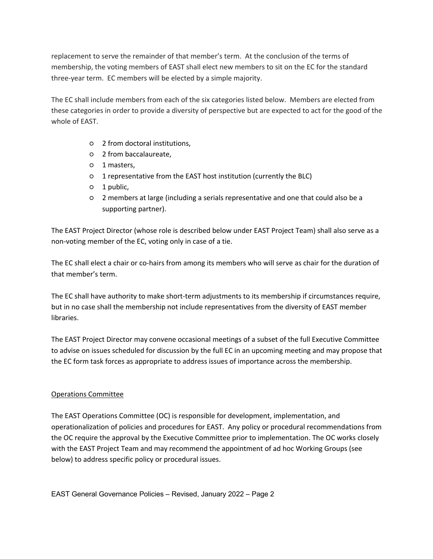replacement to serve the remainder of that member's term. At the conclusion of the terms of membership, the voting members of EAST shall elect new members to sit on the EC for the standard three-year term. EC members will be elected by a simple majority.

The EC shall include members from each of the six categories listed below. Members are elected from these categories in order to provide a diversity of perspective but are expected to act for the good of the whole of EAST.

- 2 from doctoral institutions,
- 2 from baccalaureate,
- 1 masters,
- 1 representative from the EAST host institution (currently the BLC)
- 1 public,
- 2 members at large (including a serials representative and one that could also be a supporting partner).

The EAST Project Director (whose role is described below under EAST Project Team) shall also serve as a non-voting member of the EC, voting only in case of a tie.

The EC shall elect a chair or co-hairs from among its members who will serve as chair for the duration of that member's term.

The EC shall have authority to make short-term adjustments to its membership if circumstances require, but in no case shall the membership not include representatives from the diversity of EAST member libraries.

The EAST Project Director may convene occasional meetings of a subset of the full Executive Committee to advise on issues scheduled for discussion by the full EC in an upcoming meeting and may propose that the EC form task forces as appropriate to address issues of importance across the membership.

# Operations Committee

The EAST Operations Committee (OC) is responsible for development, implementation, and operationalization of policies and procedures for EAST. Any policy or procedural recommendations from the OC require the approval by the Executive Committee prior to implementation. The OC works closely with the EAST Project Team and may recommend the appointment of ad hoc Working Groups (see below) to address specific policy or procedural issues.

EAST General Governance Policies – Revised, January 2022 – Page 2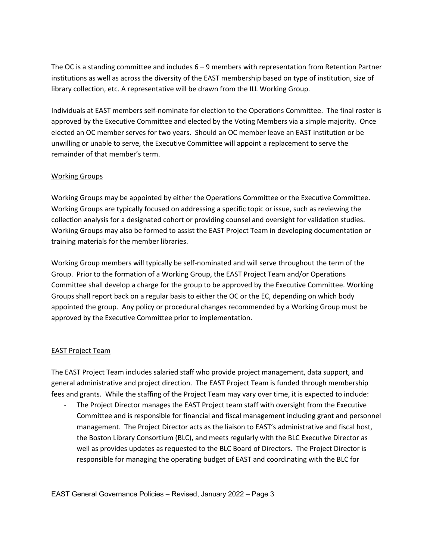The OC is a standing committee and includes 6 – 9 members with representation from Retention Partner institutions as well as across the diversity of the EAST membership based on type of institution, size of library collection, etc. A representative will be drawn from the ILL Working Group.

Individuals at EAST members self-nominate for election to the Operations Committee. The final roster is approved by the Executive Committee and elected by the Voting Members via a simple majority. Once elected an OC member serves for two years. Should an OC member leave an EAST institution or be unwilling or unable to serve, the Executive Committee will appoint a replacement to serve the remainder of that member's term.

## Working Groups

Working Groups may be appointed by either the Operations Committee or the Executive Committee. Working Groups are typically focused on addressing a specific topic or issue, such as reviewing the collection analysis for a designated cohort or providing counsel and oversight for validation studies. Working Groups may also be formed to assist the EAST Project Team in developing documentation or training materials for the member libraries.

Working Group members will typically be self-nominated and will serve throughout the term of the Group. Prior to the formation of a Working Group, the EAST Project Team and/or Operations Committee shall develop a charge for the group to be approved by the Executive Committee. Working Groups shall report back on a regular basis to either the OC or the EC, depending on which body appointed the group. Any policy or procedural changes recommended by a Working Group must be approved by the Executive Committee prior to implementation.

# EAST Project Team

The EAST Project Team includes salaried staff who provide project management, data support, and general administrative and project direction. The EAST Project Team is funded through membership fees and grants. While the staffing of the Project Team may vary over time, it is expected to include:

The Project Director manages the EAST Project team staff with oversight from the Executive Committee and is responsible for financial and fiscal management including grant and personnel management. The Project Director acts as the liaison to EAST's administrative and fiscal host, the Boston Library Consortium (BLC), and meets regularly with the BLC Executive Director as well as provides updates as requested to the BLC Board of Directors. The Project Director is responsible for managing the operating budget of EAST and coordinating with the BLC for